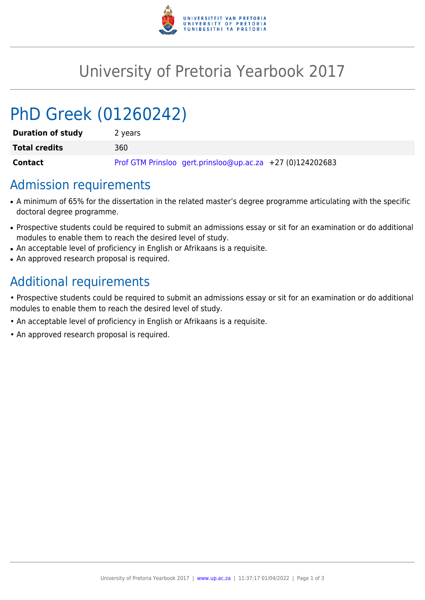

## University of Pretoria Yearbook 2017

# PhD Greek (01260242)

| <b>Duration of study</b> | 2 years                                                   |
|--------------------------|-----------------------------------------------------------|
| <b>Total credits</b>     | 360                                                       |
| Contact                  | Prof GTM Prinsloo gert.prinsloo@up.ac.za +27 (0)124202683 |

## Admission requirements

- A minimum of 65% for the dissertation in the related master's degree programme articulating with the specific doctoral degree programme.
- Prospective students could be required to submit an admissions essay or sit for an examination or do additional modules to enable them to reach the desired level of study.
- An acceptable level of proficiency in English or Afrikaans is a requisite.
- An approved research proposal is required.

## Additional requirements

• Prospective students could be required to submit an admissions essay or sit for an examination or do additional modules to enable them to reach the desired level of study.

- An acceptable level of proficiency in English or Afrikaans is a requisite.
- An approved research proposal is required.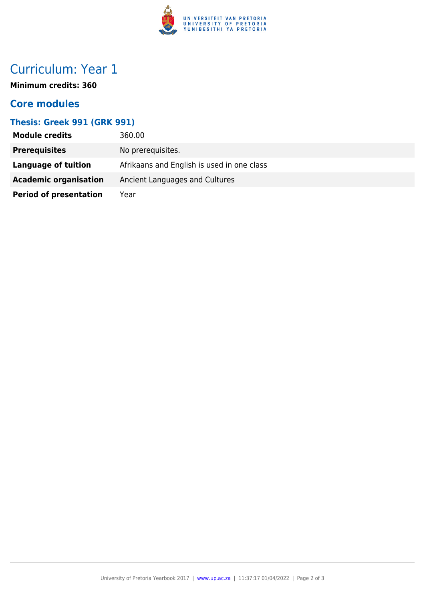

## Curriculum: Year 1

**Minimum credits: 360**

#### **Core modules**

#### **Thesis: Greek 991 (GRK 991)**

| <b>Module credits</b>         | 360.00                                     |
|-------------------------------|--------------------------------------------|
| <b>Prerequisites</b>          | No prerequisites.                          |
| Language of tuition           | Afrikaans and English is used in one class |
| <b>Academic organisation</b>  | Ancient Languages and Cultures             |
| <b>Period of presentation</b> | Year                                       |